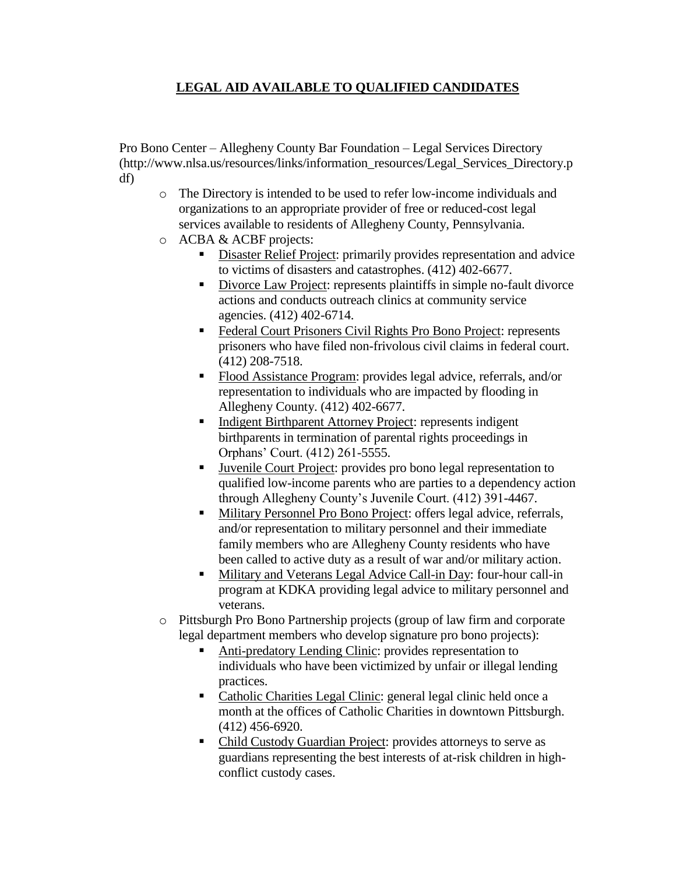# **LEGAL AID AVAILABLE TO QUALIFIED CANDIDATES**

Pro Bono Center – Allegheny County Bar Foundation – Legal Services Directory (http://www.nlsa.us/resources/links/information\_resources/Legal\_Services\_Directory.p df)

- o The Directory is intended to be used to refer low-income individuals and organizations to an appropriate provider of free or reduced-cost legal services available to residents of Allegheny County, Pennsylvania.
- o ACBA & ACBF projects:
	- Disaster Relief Project: primarily provides representation and advice to victims of disasters and catastrophes. (412) 402-6677.
	- Divorce Law Project: represents plaintiffs in simple no-fault divorce actions and conducts outreach clinics at community service agencies. (412) 402-6714.
	- Federal Court Prisoners Civil Rights Pro Bono Project: represents prisoners who have filed non-frivolous civil claims in federal court. (412) 208-7518.
	- Flood Assistance Program: provides legal advice, referrals, and/or representation to individuals who are impacted by flooding in Allegheny County. (412) 402-6677.
	- Indigent Birthparent Attorney Project: represents indigent birthparents in termination of parental rights proceedings in Orphans' Court. (412) 261-5555.
	- Juvenile Court Project: provides pro bono legal representation to qualified low-income parents who are parties to a dependency action through Allegheny County's Juvenile Court. (412) 391-4467.
	- Military Personnel Pro Bono Project: offers legal advice, referrals, and/or representation to military personnel and their immediate family members who are Allegheny County residents who have been called to active duty as a result of war and/or military action.
	- Military and Veterans Legal Advice Call-in Day: four-hour call-in program at KDKA providing legal advice to military personnel and veterans.
- o Pittsburgh Pro Bono Partnership projects (group of law firm and corporate legal department members who develop signature pro bono projects):
	- Anti-predatory Lending Clinic: provides representation to individuals who have been victimized by unfair or illegal lending practices.
	- Catholic Charities Legal Clinic: general legal clinic held once a month at the offices of Catholic Charities in downtown Pittsburgh. (412) 456-6920.
	- Child Custody Guardian Project: provides attorneys to serve as guardians representing the best interests of at-risk children in highconflict custody cases.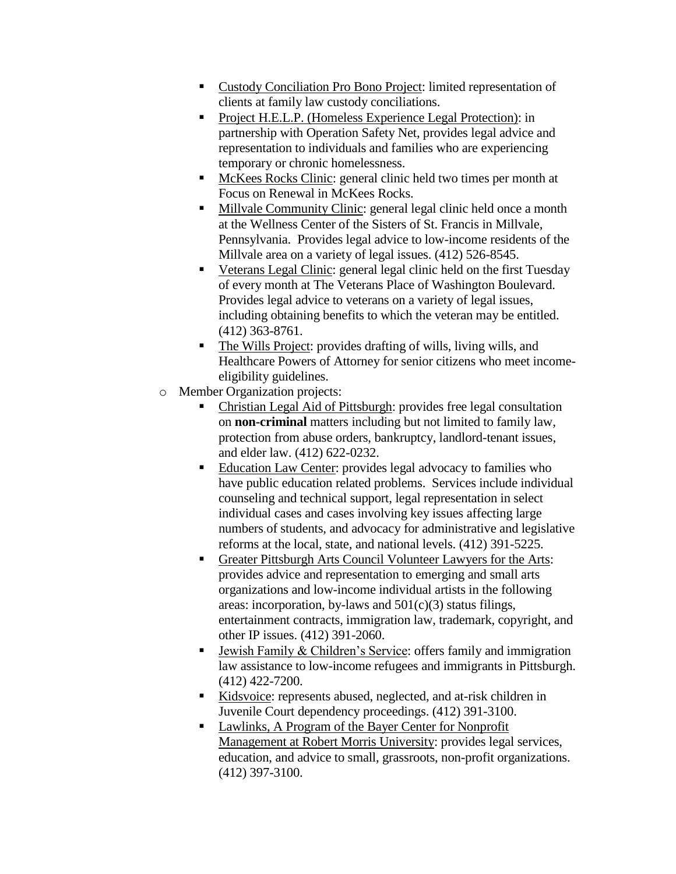- Custody Conciliation Pro Bono Project: limited representation of clients at family law custody conciliations.
- **Project H.E.L.P.** (Homeless Experience Legal Protection): in partnership with Operation Safety Net, provides legal advice and representation to individuals and families who are experiencing temporary or chronic homelessness.
- McKees Rocks Clinic: general clinic held two times per month at Focus on Renewal in McKees Rocks.
- Millvale Community Clinic: general legal clinic held once a month at the Wellness Center of the Sisters of St. Francis in Millvale, Pennsylvania. Provides legal advice to low-income residents of the Millvale area on a variety of legal issues. (412) 526-8545.
- Veterans Legal Clinic: general legal clinic held on the first Tuesday of every month at The Veterans Place of Washington Boulevard. Provides legal advice to veterans on a variety of legal issues, including obtaining benefits to which the veteran may be entitled. (412) 363-8761.
- The Wills Project: provides drafting of wills, living wills, and Healthcare Powers of Attorney for senior citizens who meet incomeeligibility guidelines.
- o Member Organization projects:
	- Christian Legal Aid of Pittsburgh: provides free legal consultation on **non-criminal** matters including but not limited to family law, protection from abuse orders, bankruptcy, landlord-tenant issues, and elder law. (412) 622-0232.
	- Education Law Center: provides legal advocacy to families who have public education related problems. Services include individual counseling and technical support, legal representation in select individual cases and cases involving key issues affecting large numbers of students, and advocacy for administrative and legislative reforms at the local, state, and national levels. (412) 391-5225.
	- Greater Pittsburgh Arts Council Volunteer Lawyers for the Arts: provides advice and representation to emerging and small arts organizations and low-income individual artists in the following areas: incorporation, by-laws and  $501(c)(3)$  status filings, entertainment contracts, immigration law, trademark, copyright, and other IP issues. (412) 391-2060.
	- Jewish Family & Children's Service: offers family and immigration law assistance to low-income refugees and immigrants in Pittsburgh. (412) 422-7200.
	- Kidsvoice: represents abused, neglected, and at-risk children in Juvenile Court dependency proceedings. (412) 391-3100.
	- **Lawlinks, A Program of the Bayer Center for Nonprofit** Management at Robert Morris University: provides legal services, education, and advice to small, grassroots, non-profit organizations. (412) 397-3100.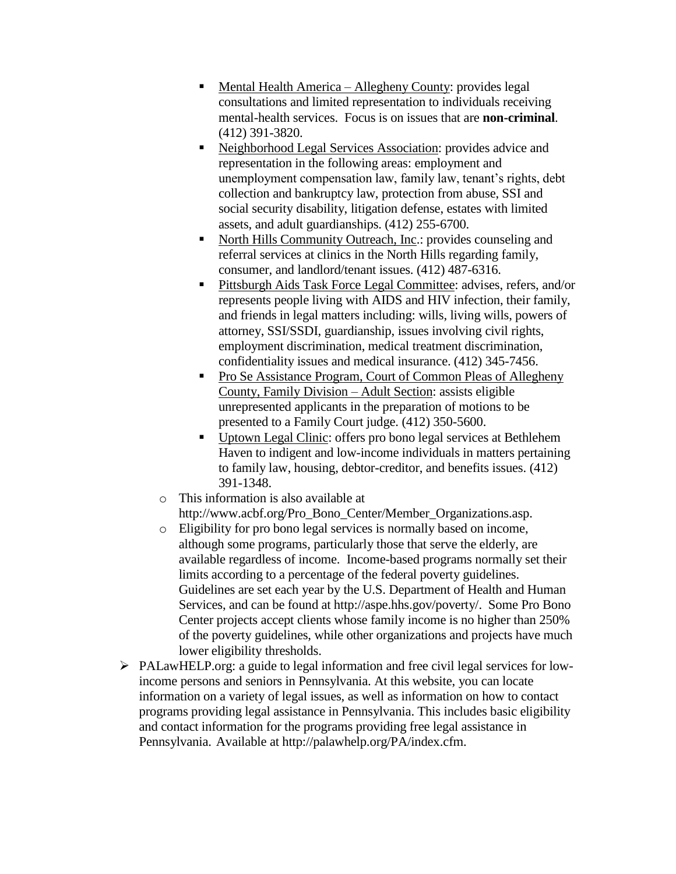- Mental Health America Allegheny County: provides legal consultations and limited representation to individuals receiving mental-health services. Focus is on issues that are **non-criminal**. (412) 391-3820.
- Neighborhood Legal Services Association: provides advice and representation in the following areas: employment and unemployment compensation law, family law, tenant's rights, debt collection and bankruptcy law, protection from abuse, SSI and social security disability, litigation defense, estates with limited assets, and adult guardianships. (412) 255-6700.
- North Hills Community Outreach, Inc.: provides counseling and referral services at clinics in the North Hills regarding family, consumer, and landlord/tenant issues. (412) 487-6316.
- Pittsburgh Aids Task Force Legal Committee: advises, refers, and/or represents people living with AIDS and HIV infection, their family, and friends in legal matters including: wills, living wills, powers of attorney, SSI/SSDI, guardianship, issues involving civil rights, employment discrimination, medical treatment discrimination, confidentiality issues and medical insurance. (412) 345-7456.
- **Pro Se Assistance Program, Court of Common Pleas of Allegheny** County, Family Division – Adult Section: assists eligible unrepresented applicants in the preparation of motions to be presented to a Family Court judge. (412) 350-5600.
- Uptown Legal Clinic: offers pro bono legal services at Bethlehem Haven to indigent and low-income individuals in matters pertaining to family law, housing, debtor-creditor, and benefits issues. (412) 391-1348.
- o This information is also available at http://www.acbf.org/Pro\_Bono\_Center/Member\_Organizations.asp.
- o Eligibility for pro bono legal services is normally based on income, although some programs, particularly those that serve the elderly, are available regardless of income. Income-based programs normally set their limits according to a percentage of the federal poverty guidelines. Guidelines are set each year by the U.S. Department of Health and Human Services, and can be found at http://aspe.hhs.gov/poverty/. Some Pro Bono Center projects accept clients whose family income is no higher than 250% of the poverty guidelines, while other organizations and projects have much lower eligibility thresholds.
- $\triangleright$  PALawHELP.org: a guide to legal information and free civil legal services for lowincome persons and seniors in Pennsylvania. At this website, you can locate information on a variety of legal issues, as well as information on how to contact programs providing legal assistance in Pennsylvania. This includes basic eligibility and contact information for the programs providing free legal assistance in Pennsylvania. Available at http://palawhelp.org/PA/index.cfm.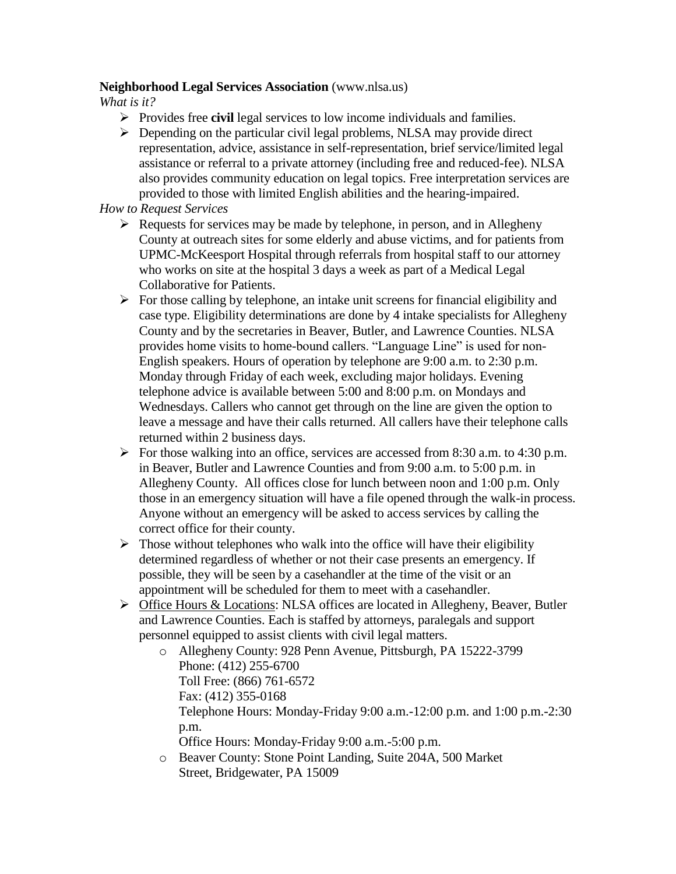### **Neighborhood Legal Services Association** (www.nlsa.us)

*What is it?*

- Provides free **civil** legal services to low income individuals and families.
- $\triangleright$  Depending on the particular civil legal problems, NLSA may provide direct representation, advice, assistance in self-representation, brief service/limited legal assistance or referral to a private attorney (including free and reduced-fee). NLSA also provides community education on legal topics. Free interpretation services are provided to those with limited English abilities and the hearing-impaired.

### *How to Request Services*

- $\triangleright$  Requests for services may be made by telephone, in person, and in Allegheny County at outreach sites for some elderly and abuse victims, and for patients from UPMC-McKeesport Hospital through referrals from hospital staff to our attorney who works on site at the hospital 3 days a week as part of a Medical Legal Collaborative for Patients.
- $\triangleright$  For those calling by telephone, an intake unit screens for financial eligibility and case type. Eligibility determinations are done by 4 intake specialists for Allegheny County and by the secretaries in Beaver, Butler, and Lawrence Counties. NLSA provides home visits to home-bound callers. "Language Line" is used for non-English speakers. Hours of operation by telephone are 9:00 a.m. to 2:30 p.m. Monday through Friday of each week, excluding major holidays. Evening telephone advice is available between 5:00 and 8:00 p.m. on Mondays and Wednesdays. Callers who cannot get through on the line are given the option to leave a message and have their calls returned. All callers have their telephone calls returned within 2 business days.
- For those walking into an office, services are accessed from 8:30 a.m. to 4:30 p.m. in Beaver, Butler and Lawrence Counties and from 9:00 a.m. to 5:00 p.m. in Allegheny County. All offices close for lunch between noon and 1:00 p.m. Only those in an emergency situation will have a file opened through the walk-in process. Anyone without an emergency will be asked to access services by calling the correct office for their county.
- $\triangleright$  Those without telephones who walk into the office will have their eligibility determined regardless of whether or not their case presents an emergency. If possible, they will be seen by a casehandler at the time of the visit or an appointment will be scheduled for them to meet with a casehandler.
- $\triangleright$  Office Hours & Locations: NLSA offices are located in Allegheny, Beaver, Butler and Lawrence Counties. Each is staffed by attorneys, paralegals and support personnel equipped to assist clients with civil legal matters.
	- o Allegheny County: 928 Penn Avenue, Pittsburgh, PA 15222-3799 Phone: (412) 255-6700 Toll Free: (866) 761-6572 Fax: (412) 355-0168 Telephone Hours: Monday-Friday 9:00 a.m.-12:00 p.m. and 1:00 p.m.-2:30 p.m. Office Hours: Monday-Friday 9:00 a.m.-5:00 p.m.
	- o Beaver County: Stone Point Landing, Suite 204A, 500 Market Street, Bridgewater, PA 15009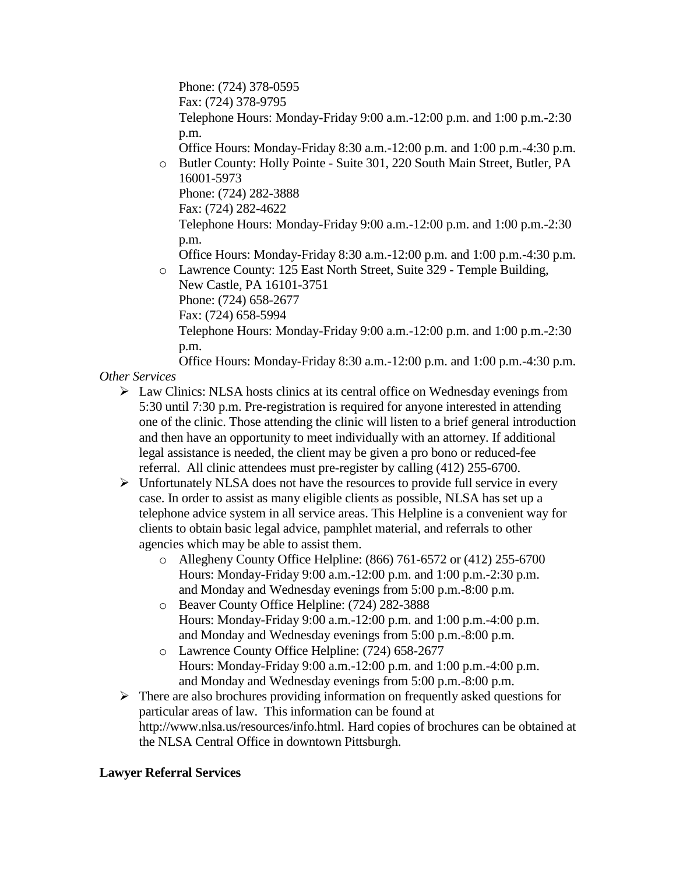Phone: (724) 378-0595 Fax: (724) 378-9795 Telephone Hours: Monday-Friday 9:00 a.m.-12:00 p.m. and 1:00 p.m.-2:30 p.m. Office Hours: Monday-Friday 8:30 a.m.-12:00 p.m. and 1:00 p.m.-4:30 p.m.

o Butler County: Holly Pointe - Suite 301, 220 South Main Street, Butler, PA 16001-5973

Phone: (724) 282-3888

Fax: (724) 282-4622

Telephone Hours: Monday-Friday 9:00 a.m.-12:00 p.m. and 1:00 p.m.-2:30 p.m.

Office Hours: Monday-Friday 8:30 a.m.-12:00 p.m. and 1:00 p.m.-4:30 p.m. o Lawrence County: 125 East North Street, Suite 329 - Temple Building,

New Castle, PA 16101-3751 Phone: (724) 658-2677 Fax: (724) 658-5994 Telephone Hours: Monday-Friday 9:00 a.m.-12:00 p.m. and 1:00 p.m.-2:30 p.m.

Office Hours: Monday-Friday 8:30 a.m.-12:00 p.m. and 1:00 p.m.-4:30 p.m. *Other Services*

- $\triangleright$  Law Clinics: NLSA hosts clinics at its central office on Wednesday evenings from 5:30 until 7:30 p.m. Pre-registration is required for anyone interested in attending one of the clinic. Those attending the clinic will listen to a brief general introduction and then have an opportunity to meet individually with an attorney. If additional legal assistance is needed, the client may be given a pro bono or reduced-fee referral. All clinic attendees must pre-register by calling (412) 255-6700.
- $\triangleright$  Unfortunately NLSA does not have the resources to provide full service in every case. In order to assist as many eligible clients as possible, NLSA has set up a telephone advice system in all service areas. This Helpline is a convenient way for clients to obtain basic legal advice, pamphlet material, and referrals to other agencies which may be able to assist them.
	- o Allegheny County Office Helpline: (866) 761-6572 or (412) 255-6700 Hours: Monday-Friday 9:00 a.m.-12:00 p.m. and 1:00 p.m.-2:30 p.m. and Monday and Wednesday evenings from 5:00 p.m.-8:00 p.m.
	- o Beaver County Office Helpline: (724) 282-3888 Hours: Monday-Friday 9:00 a.m.-12:00 p.m. and 1:00 p.m.-4:00 p.m. and Monday and Wednesday evenings from 5:00 p.m.-8:00 p.m.
	- o Lawrence County Office Helpline: (724) 658-2677 Hours: Monday-Friday 9:00 a.m.-12:00 p.m. and 1:00 p.m.-4:00 p.m. and Monday and Wednesday evenings from 5:00 p.m.-8:00 p.m.
- $\triangleright$  There are also brochures providing information on frequently asked questions for particular areas of law. This information can be found at http://www.nlsa.us/resources/info.html. Hard copies of brochures can be obtained at the NLSA Central Office in downtown Pittsburgh.

# **Lawyer Referral Services**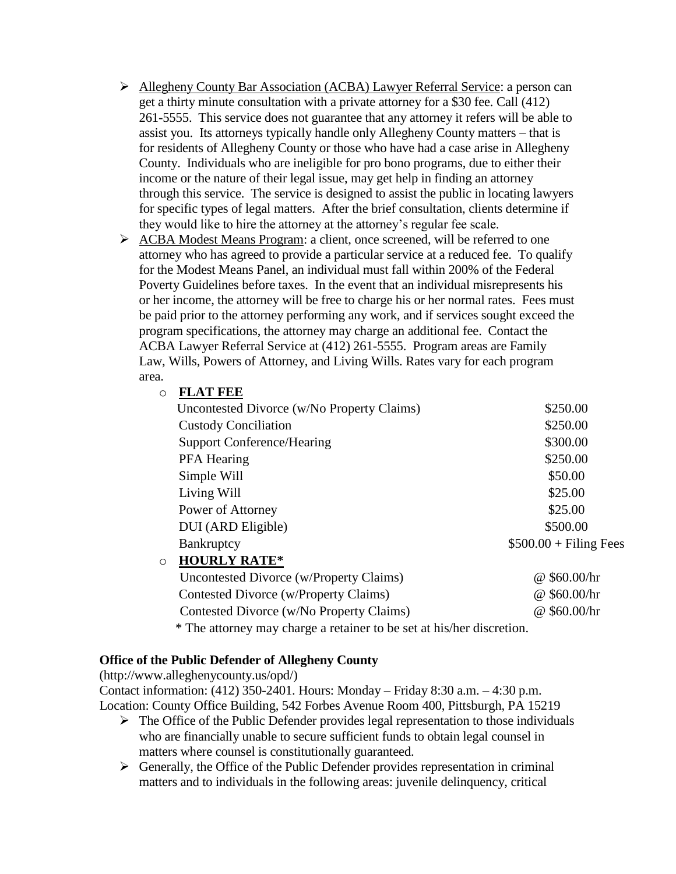- Allegheny County Bar Association (ACBA) Lawyer Referral Service: a person can get a thirty minute consultation with a private attorney for a \$30 fee. Call (412) 261-5555. This service does not guarantee that any attorney it refers will be able to assist you. Its attorneys typically handle only Allegheny County matters – that is for residents of Allegheny County or those who have had a case arise in Allegheny County. Individuals who are ineligible for pro bono programs, due to either their income or the nature of their legal issue, may get help in finding an attorney through this service. The service is designed to assist the public in locating lawyers for specific types of legal matters. After the brief consultation, clients determine if they would like to hire the attorney at the attorney's regular fee scale.
- ACBA Modest Means Program: a client, once screened, will be referred to one attorney who has agreed to provide a particular service at a reduced fee. To qualify for the Modest Means Panel, an individual must fall within 200% of the Federal Poverty Guidelines before taxes. In the event that an individual misrepresents his or her income, the attorney will be free to charge his or her normal rates. Fees must be paid prior to the attorney performing any work, and if services sought exceed the program specifications, the attorney may charge an additional fee. Contact the ACBA Lawyer Referral Service at (412) 261-5555. Program areas are Family Law, Wills, Powers of Attorney, and Living Wills. Rates vary for each program area.

### o **FLAT FEE**

| Uncontested Divorce (w/No Property Claims) | \$250.00                |
|--------------------------------------------|-------------------------|
| <b>Custody Conciliation</b>                | \$250.00                |
| <b>Support Conference/Hearing</b>          | \$300.00                |
| PFA Hearing                                | \$250.00                |
| Simple Will                                | \$50.00                 |
| Living Will                                | \$25.00                 |
| Power of Attorney                          | \$25.00                 |
| DUI (ARD Eligible)                         | \$500.00                |
| Bankruptcy                                 | $$500.00 + Filing Fees$ |
| <b>HOURLY RATE*</b><br>$\circ$             |                         |
| Uncontested Divorce (w/Property Claims)    | @\$60.00/hr             |

 Contested Divorce (w/Property Claims) @ \$60.00/hr Contested Divorce (w/No Property Claims) @ \$60.00/hr

\* The attorney may charge a retainer to be set at his/her discretion.

### **Office of the Public Defender of Allegheny County**

(http://www.alleghenycounty.us/opd/)

Contact information: (412) 350-2401. Hours: Monday – Friday 8:30 a.m. – 4:30 p.m. Location: County Office Building, 542 Forbes Avenue Room 400, Pittsburgh, PA 15219

- $\triangleright$  The Office of the Public Defender provides legal representation to those individuals who are financially unable to secure sufficient funds to obtain legal counsel in matters where counsel is constitutionally guaranteed.
- $\triangleright$  Generally, the Office of the Public Defender provides representation in criminal matters and to individuals in the following areas: juvenile delinquency, critical